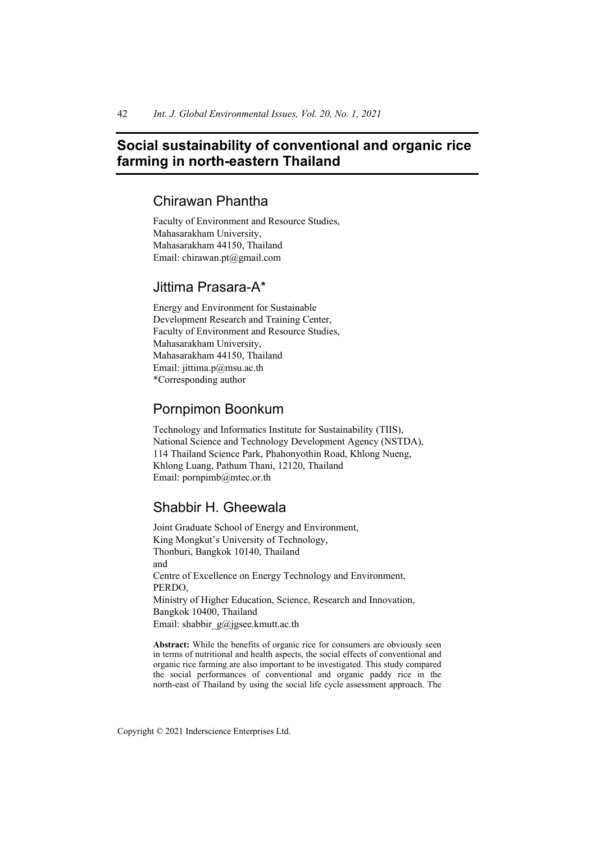# **Social sustainability of conventional and organic rice farming in north-eastern Thailand**

# Chirawan Phantha

Faculty of Environment and Resource Studies, Mahasarakham University, Mahasarakham 44150, Thailand Email: chirawan.pt@gmail.com

# Jittima Prasara-A\*

Energy and Environment for Sustainable Development Research and Training Center, Faculty of Environment and Resource Studies, Mahasarakham University, Mahasarakham 44150, Thailand Email: jittima.p@msu.ac.th \*Corresponding author

# Pornpimon Boonkum

Technology and Informatics Institute for Sustainability (TIIS), National Science and Technology Development Agency (NSTDA), 114 Thailand Science Park, Phahonyothin Road, Khlong Nueng, Khlong Luang, Pathum Thani, 12120, Thailand Email: pornpimb@mtec.or.th

# Shabbir H. Gheewala

Joint Graduate School of Energy and Environment, King Mongkut's University of Technology, Thonburi, Bangkok 10140, Thailand and Centre of Excellence on Energy Technology and Environment, PERDO, Ministry of Higher Education, Science, Research and Innovation, Bangkok 10400, Thailand Email: shabbir\_g@jgsee.kmutt.ac.th

**Abstract:** While the benefits of organic rice for consumers are obviously seen in terms of nutritional and health aspects, the social effects of conventional and organic rice farming are also important to be investigated. This study compared the social performances of conventional and organic paddy rice in the north-east of Thailand by using the social life cycle assessment approach. The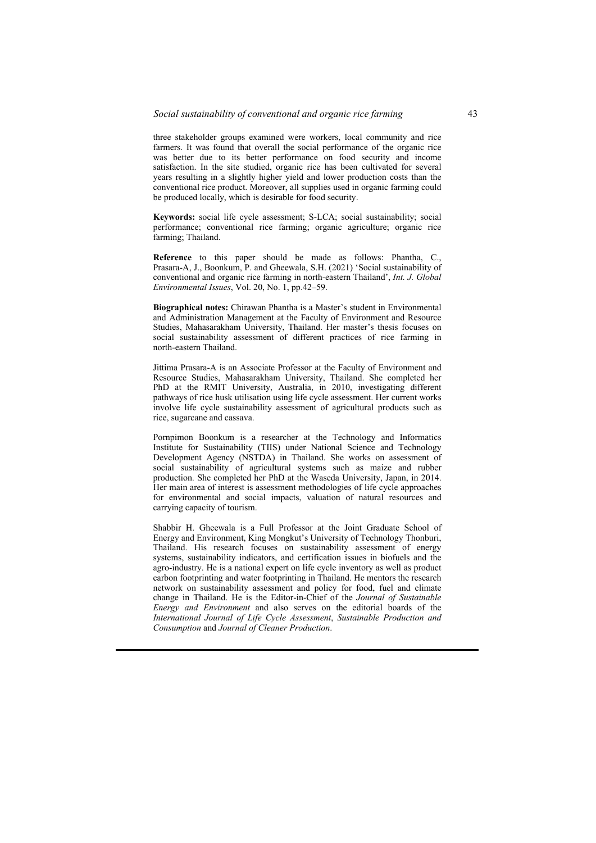three stakeholder groups examined were workers, local community and rice farmers. It was found that overall the social performance of the organic rice was better due to its better performance on food security and income satisfaction. In the site studied, organic rice has been cultivated for several years resulting in a slightly higher yield and lower production costs than the conventional rice product. Moreover, all supplies used in organic farming could be produced locally, which is desirable for food security.

**Keywords:** social life cycle assessment; S-LCA; social sustainability; social performance; conventional rice farming; organic agriculture; organic rice farming; Thailand.

**Reference** to this paper should be made as follows: Phantha, C., Prasara-A, J., Boonkum, P. and Gheewala, S.H. (2021) 'Social sustainability of conventional and organic rice farming in north-eastern Thailand', *Int. J. Global Environmental Issues*, Vol. 20, No. 1, pp.42–59.

**Biographical notes:** Chirawan Phantha is a Master's student in Environmental and Administration Management at the Faculty of Environment and Resource Studies, Mahasarakham University, Thailand. Her master's thesis focuses on social sustainability assessment of different practices of rice farming in north-eastern Thailand.

Jittima Prasara-A is an Associate Professor at the Faculty of Environment and Resource Studies, Mahasarakham University, Thailand. She completed her PhD at the RMIT University, Australia, in 2010, investigating different pathways of rice husk utilisation using life cycle assessment. Her current works involve life cycle sustainability assessment of agricultural products such as rice, sugarcane and cassava.

Pornpimon Boonkum is a researcher at the Technology and Informatics Institute for Sustainability (TIIS) under National Science and Technology Development Agency (NSTDA) in Thailand. She works on assessment of social sustainability of agricultural systems such as maize and rubber production. She completed her PhD at the Waseda University, Japan, in 2014. Her main area of interest is assessment methodologies of life cycle approaches for environmental and social impacts, valuation of natural resources and carrying capacity of tourism.

Shabbir H. Gheewala is a Full Professor at the Joint Graduate School of Energy and Environment, King Mongkut's University of Technology Thonburi, Thailand. His research focuses on sustainability assessment of energy systems, sustainability indicators, and certification issues in biofuels and the agro-industry. He is a national expert on life cycle inventory as well as product carbon footprinting and water footprinting in Thailand. He mentors the research network on sustainability assessment and policy for food, fuel and climate change in Thailand. He is the Editor-in-Chief of the *Journal of Sustainable Energy and Environment* and also serves on the editorial boards of the *International Journal of Life Cycle Assessment*, *Sustainable Production and Consumption* and *Journal of Cleaner Production*.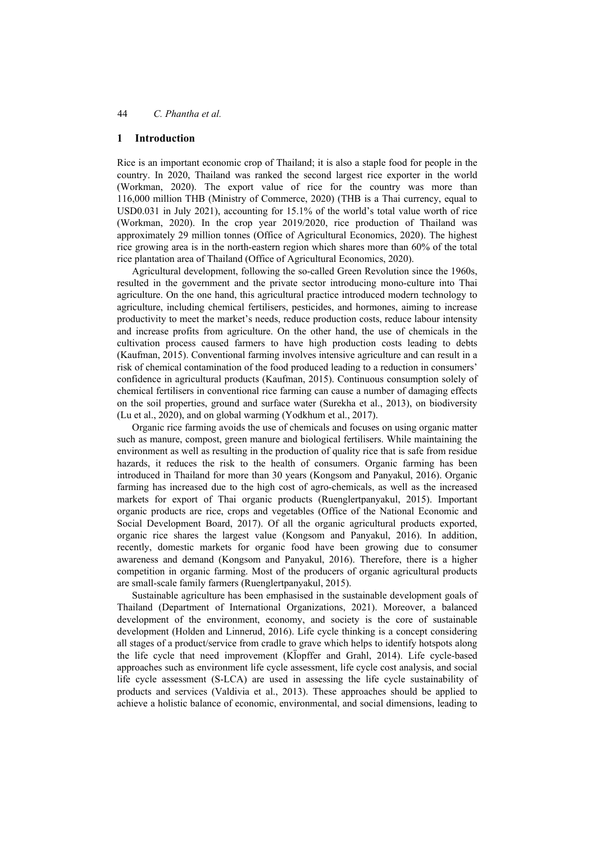### **1 Introduction**

Rice is an important economic crop of Thailand; it is also a staple food for people in the country. In 2020, Thailand was ranked the second largest rice exporter in the world (Workman, 2020). The export value of rice for the country was more than 116,000 million THB (Ministry of Commerce, 2020) (THB is a Thai currency, equal to USD0.031 in July 2021), accounting for 15.1% of the world's total value worth of rice (Workman, 2020). In the crop year 2019/2020, rice production of Thailand was approximately 29 million tonnes (Office of Agricultural Economics, 2020). The highest rice growing area is in the north-eastern region which shares more than 60% of the total rice plantation area of Thailand (Office of Agricultural Economics, 2020).

Agricultural development, following the so-called Green Revolution since the 1960s, resulted in the government and the private sector introducing mono-culture into Thai agriculture. On the one hand, this agricultural practice introduced modern technology to agriculture, including chemical fertilisers, pesticides, and hormones, aiming to increase productivity to meet the market's needs, reduce production costs, reduce labour intensity and increase profits from agriculture. On the other hand, the use of chemicals in the cultivation process caused farmers to have high production costs leading to debts (Kaufman, 2015). Conventional farming involves intensive agriculture and can result in a risk of chemical contamination of the food produced leading to a reduction in consumers' confidence in agricultural products (Kaufman, 2015). Continuous consumption solely of chemical fertilisers in conventional rice farming can cause a number of damaging effects on the soil properties, ground and surface water (Surekha et al., 2013), on biodiversity (Lu et al., 2020), and on global warming (Yodkhum et al., 2017).

Organic rice farming avoids the use of chemicals and focuses on using organic matter such as manure, compost, green manure and biological fertilisers. While maintaining the environment as well as resulting in the production of quality rice that is safe from residue hazards, it reduces the risk to the health of consumers. Organic farming has been introduced in Thailand for more than 30 years (Kongsom and Panyakul, 2016). Organic farming has increased due to the high cost of agro-chemicals, as well as the increased markets for export of Thai organic products (Ruenglertpanyakul, 2015). Important organic products are rice, crops and vegetables (Office of the National Economic and Social Development Board, 2017). Of all the organic agricultural products exported, organic rice shares the largest value (Kongsom and Panyakul, 2016). In addition, recently, domestic markets for organic food have been growing due to consumer awareness and demand (Kongsom and Panyakul, 2016). Therefore, there is a higher competition in organic farming. Most of the producers of organic agricultural products are small-scale family farmers (Ruenglertpanyakul, 2015).

Sustainable agriculture has been emphasised in the sustainable development goals of Thailand (Department of International Organizations, 2021). Moreover, a balanced development of the environment, economy, and society is the core of sustainable development (Holden and Linnerud, 2016). Life cycle thinking is a concept considering all stages of a product/service from cradle to grave which helps to identify hotspots along the life cycle that need improvement (Kl̈ opffer and Grahl, 2014). Life cycle-based approaches such as environment life cycle assessment, life cycle cost analysis, and social life cycle assessment (S-LCA) are used in assessing the life cycle sustainability of products and services (Valdivia et al., 2013). These approaches should be applied to achieve a holistic balance of economic, environmental, and social dimensions, leading to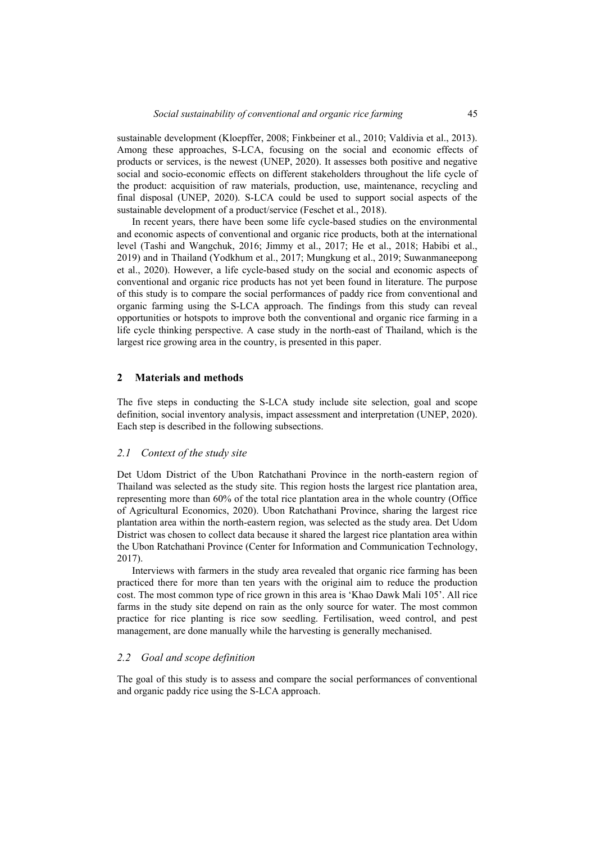sustainable development (Kloepffer, 2008; Finkbeiner et al., 2010; Valdivia et al., 2013). Among these approaches, S-LCA, focusing on the social and economic effects of products or services, is the newest (UNEP, 2020). It assesses both positive and negative social and socio-economic effects on different stakeholders throughout the life cycle of the product: acquisition of raw materials, production, use, maintenance, recycling and final disposal (UNEP, 2020). S-LCA could be used to support social aspects of the sustainable development of a product/service (Feschet et al., 2018).

In recent years, there have been some life cycle-based studies on the environmental and economic aspects of conventional and organic rice products, both at the international level (Tashi and Wangchuk, 2016; Jimmy et al., 2017; He et al., 2018; Habibi et al., 2019) and in Thailand (Yodkhum et al., 2017; Mungkung et al., 2019; Suwanmaneepong et al., 2020). However, a life cycle-based study on the social and economic aspects of conventional and organic rice products has not yet been found in literature. The purpose of this study is to compare the social performances of paddy rice from conventional and organic farming using the S-LCA approach. The findings from this study can reveal opportunities or hotspots to improve both the conventional and organic rice farming in a life cycle thinking perspective. A case study in the north-east of Thailand, which is the largest rice growing area in the country, is presented in this paper.

### **2 Materials and methods**

The five steps in conducting the S-LCA study include site selection, goal and scope definition, social inventory analysis, impact assessment and interpretation (UNEP, 2020). Each step is described in the following subsections.

### *2.1 Context of the study site*

Det Udom District of the Ubon Ratchathani Province in the north-eastern region of Thailand was selected as the study site. This region hosts the largest rice plantation area, representing more than 60% of the total rice plantation area in the whole country (Office of Agricultural Economics, 2020). Ubon Ratchathani Province, sharing the largest rice plantation area within the north-eastern region, was selected as the study area. Det Udom District was chosen to collect data because it shared the largest rice plantation area within the Ubon Ratchathani Province (Center for Information and Communication Technology, 2017).

Interviews with farmers in the study area revealed that organic rice farming has been practiced there for more than ten years with the original aim to reduce the production cost. The most common type of rice grown in this area is 'Khao Dawk Mali 105'. All rice farms in the study site depend on rain as the only source for water. The most common practice for rice planting is rice sow seedling. Fertilisation, weed control, and pest management, are done manually while the harvesting is generally mechanised.

### *2.2 Goal and scope definition*

The goal of this study is to assess and compare the social performances of conventional and organic paddy rice using the S-LCA approach.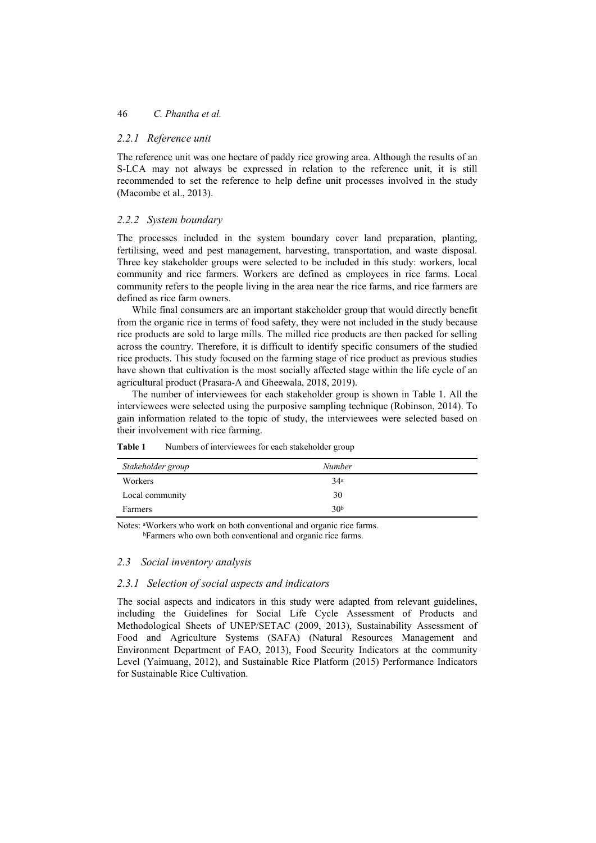## *2.2.1 Reference unit*

The reference unit was one hectare of paddy rice growing area. Although the results of an S-LCA may not always be expressed in relation to the reference unit, it is still recommended to set the reference to help define unit processes involved in the study (Macombe et al., 2013).

# *2.2.2 System boundary*

The processes included in the system boundary cover land preparation, planting, fertilising, weed and pest management, harvesting, transportation, and waste disposal. Three key stakeholder groups were selected to be included in this study: workers, local community and rice farmers. Workers are defined as employees in rice farms. Local community refers to the people living in the area near the rice farms, and rice farmers are defined as rice farm owners.

While final consumers are an important stakeholder group that would directly benefit from the organic rice in terms of food safety, they were not included in the study because rice products are sold to large mills. The milled rice products are then packed for selling across the country. Therefore, it is difficult to identify specific consumers of the studied rice products. This study focused on the farming stage of rice product as previous studies have shown that cultivation is the most socially affected stage within the life cycle of an agricultural product (Prasara-A and Gheewala, 2018, 2019).

The number of interviewees for each stakeholder group is shown in Table 1. All the interviewees were selected using the purposive sampling technique (Robinson, 2014). To gain information related to the topic of study, the interviewees were selected based on their involvement with rice farming.

| Stakeholder group | Number          |  |
|-------------------|-----------------|--|
| Workers           | 34 <sup>a</sup> |  |
| Local community   | 30              |  |
| Farmers           | 30 <sup>b</sup> |  |

**Table 1** Numbers of interviewees for each stakeholder group

Notes: aWorkers who work on both conventional and organic rice farms. bFarmers who own both conventional and organic rice farms.

## *2.3 Social inventory analysis*

## *2.3.1 Selection of social aspects and indicators*

The social aspects and indicators in this study were adapted from relevant guidelines, including the Guidelines for Social Life Cycle Assessment of Products and Methodological Sheets of UNEP/SETAC (2009, 2013), Sustainability Assessment of Food and Agriculture Systems (SAFA) (Natural Resources Management and Environment Department of FAO, 2013), Food Security Indicators at the community Level (Yaimuang, 2012), and Sustainable Rice Platform (2015) Performance Indicators for Sustainable Rice Cultivation.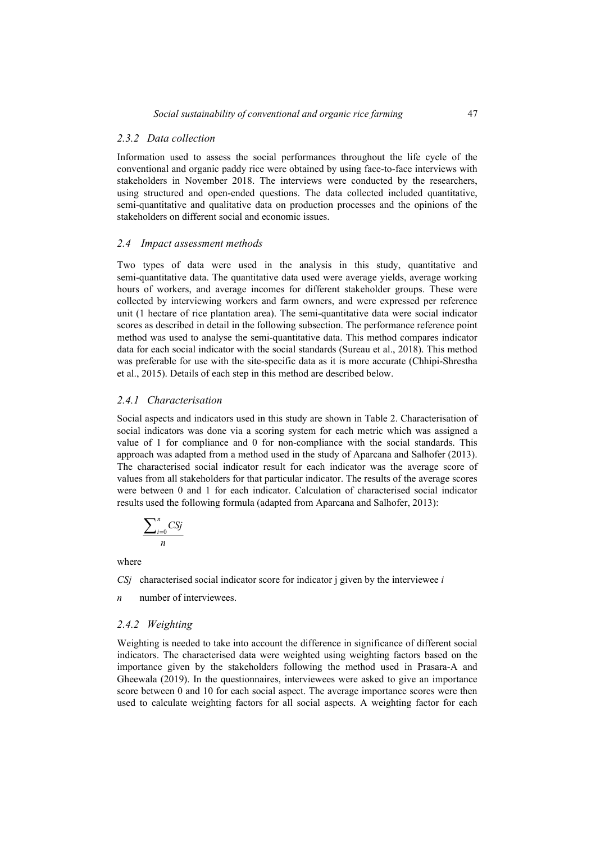### *2.3.2 Data collection*

Information used to assess the social performances throughout the life cycle of the conventional and organic paddy rice were obtained by using face-to-face interviews with stakeholders in November 2018. The interviews were conducted by the researchers, using structured and open-ended questions. The data collected included quantitative, semi-quantitative and qualitative data on production processes and the opinions of the stakeholders on different social and economic issues.

### *2.4 Impact assessment methods*

Two types of data were used in the analysis in this study, quantitative and semi-quantitative data. The quantitative data used were average yields, average working hours of workers, and average incomes for different stakeholder groups. These were collected by interviewing workers and farm owners, and were expressed per reference unit (1 hectare of rice plantation area). The semi-quantitative data were social indicator scores as described in detail in the following subsection. The performance reference point method was used to analyse the semi-quantitative data. This method compares indicator data for each social indicator with the social standards (Sureau et al., 2018). This method was preferable for use with the site-specific data as it is more accurate (Chhipi-Shrestha et al., 2015). Details of each step in this method are described below.

### *2.4.1 Characterisation*

Social aspects and indicators used in this study are shown in Table 2. Characterisation of social indicators was done via a scoring system for each metric which was assigned a value of 1 for compliance and 0 for non-compliance with the social standards. This approach was adapted from a method used in the study of Aparcana and Salhofer (2013). The characterised social indicator result for each indicator was the average score of values from all stakeholders for that particular indicator. The results of the average scores were between 0 and 1 for each indicator. Calculation of characterised social indicator results used the following formula (adapted from Aparcana and Salhofer, 2013):

$$
\frac{\sum_{i=0}^{n}CSj}{n}
$$

where

*CSj* characterised social indicator score for indicator j given by the interviewee *i*

*n* number of interviewees.

### *2.4.2 Weighting*

Weighting is needed to take into account the difference in significance of different social indicators. The characterised data were weighted using weighting factors based on the importance given by the stakeholders following the method used in Prasara-A and Gheewala (2019). In the questionnaires, interviewees were asked to give an importance score between 0 and 10 for each social aspect. The average importance scores were then used to calculate weighting factors for all social aspects. A weighting factor for each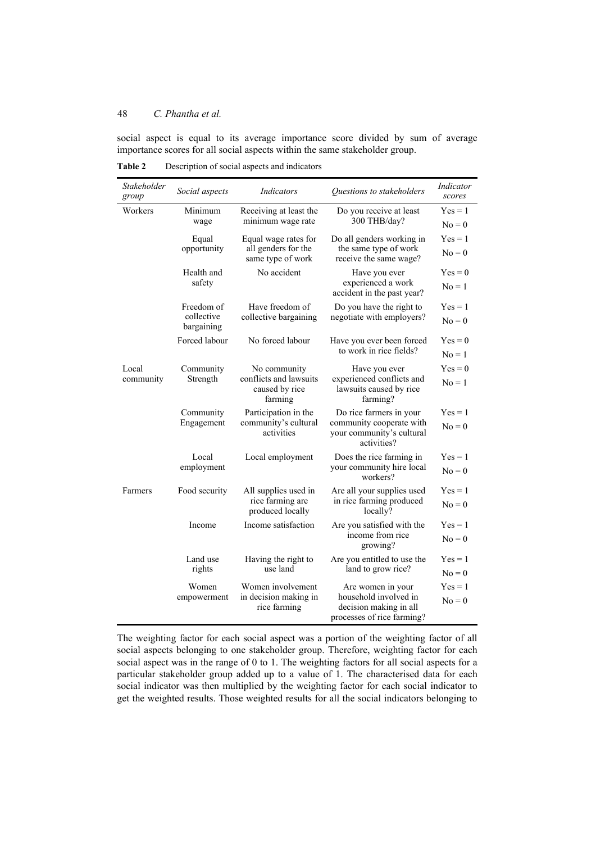social aspect is equal to its average importance score divided by sum of average importance scores for all social aspects within the same stakeholder group.

| Stakeholder<br>group | Social aspects           | Indicators                                          | Questions to stakeholders                                                     | Indicator<br>scores |
|----------------------|--------------------------|-----------------------------------------------------|-------------------------------------------------------------------------------|---------------------|
| Workers              | Minimum                  | Receiving at least the                              | Do you receive at least                                                       | $Yes = 1$           |
|                      | wage                     | minimum wage rate                                   | 300 THB/day?                                                                  | $No = 0$            |
|                      | Equal                    | Equal wage rates for                                | Do all genders working in                                                     | $Yes = 1$           |
|                      | opportunity              | all genders for the<br>same type of work            | the same type of work<br>receive the same wage?                               | $No = 0$            |
|                      | Health and               | No accident                                         | Have you ever                                                                 | $Yes = 0$           |
|                      | safety                   |                                                     | experienced a work<br>accident in the past year?                              | $No = 1$            |
|                      | Freedom of               | Have freedom of                                     | Do you have the right to                                                      | $Yes = 1$           |
|                      | collective<br>bargaining | collective bargaining                               | negotiate with employers?                                                     | $No = 0$            |
|                      | Forced labour            | No forced labour                                    | Have you ever been forced                                                     | $Yes = 0$           |
|                      |                          |                                                     | to work in rice fields?                                                       | $No = 1$            |
| Local                | Community                | No community                                        | Have you ever                                                                 | $Yes = 0$           |
| community            | Strength                 | conflicts and lawsuits<br>caused by rice<br>farming | experienced conflicts and<br>lawsuits caused by rice<br>farming?              | $No = 1$            |
|                      | Community                | Participation in the                                | Do rice farmers in your                                                       | $Yes = 1$           |
|                      | Engagement               | community's cultural<br>activities                  | community cooperate with<br>your community's cultural<br>activities?          | $No = 0$            |
|                      | Local                    | Local employment                                    | Does the rice farming in                                                      | $Yes = 1$           |
|                      | employment               |                                                     | your community hire local<br>workers?                                         | $No = 0$            |
| Farmers              | Food security            | All supplies used in                                | Are all your supplies used                                                    | $Yes = 1$           |
|                      |                          | rice farming are<br>produced locally                | in rice farming produced<br>locally?                                          | $No = 0$            |
|                      | Income                   | Income satisfaction                                 | Are you satisfied with the                                                    | $Yes = 1$           |
|                      |                          |                                                     | income from rice<br>growing?                                                  | $No = 0$            |
|                      | Land use                 | Having the right to                                 | Are you entitled to use the                                                   | $Yes = 1$           |
|                      | rights                   | use land                                            | land to grow rice?                                                            | $No = 0$            |
|                      | Women                    | Women involvement                                   | Are women in your                                                             | $Yes = 1$           |
|                      | empowerment              | in decision making in<br>rice farming               | household involved in<br>decision making in all<br>processes of rice farming? | $No = 0$            |

**Table 2** Description of social aspects and indicators

The weighting factor for each social aspect was a portion of the weighting factor of all social aspects belonging to one stakeholder group. Therefore, weighting factor for each social aspect was in the range of 0 to 1. The weighting factors for all social aspects for a particular stakeholder group added up to a value of 1. The characterised data for each social indicator was then multiplied by the weighting factor for each social indicator to get the weighted results. Those weighted results for all the social indicators belonging to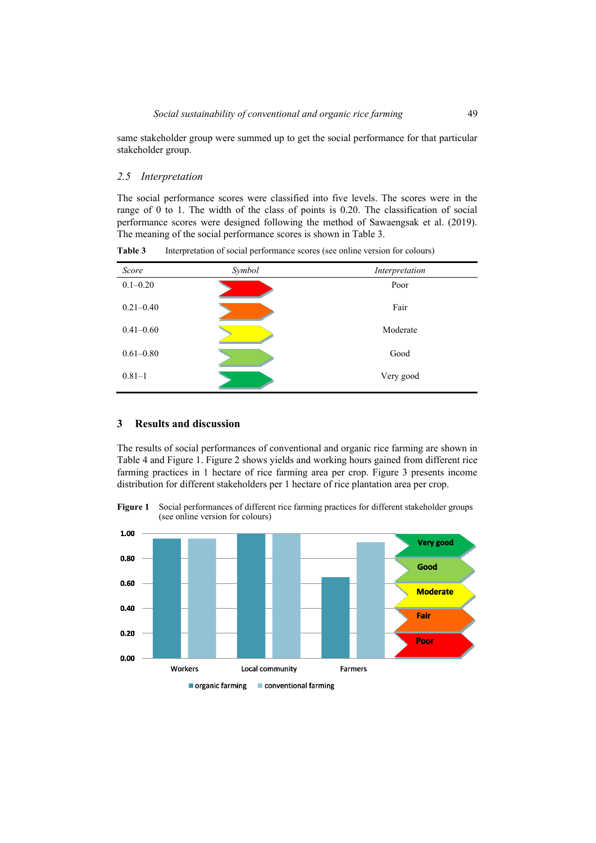same stakeholder group were summed up to get the social performance for that particular stakeholder group.

### *2.5 Interpretation*

The social performance scores were classified into five levels. The scores were in the range of 0 to 1. The width of the class of points is 0.20. The classification of social performance scores were designed following the method of Sawaengsak et al. (2019). The meaning of the social performance scores is shown in Table 3.

| Score         | Symbol | Interpretation |
|---------------|--------|----------------|
| $0.1 - 0.20$  |        | Poor           |
| $0.21 - 0.40$ |        | Fair           |
| $0.41 - 0.60$ |        | Moderate       |
| $0.61 - 0.80$ |        | Good           |
| $0.81 - 1$    |        | Very good      |

**Table 3** Interpretation of social performance scores (see online version for colours)

## **3 Results and discussion**

The results of social performances of conventional and organic rice farming are shown in Table 4 and Figure 1. Figure 2 shows yields and working hours gained from different rice farming practices in 1 hectare of rice farming area per crop. Figure 3 presents income distribution for different stakeholders per 1 hectare of rice plantation area per crop.

**Figure 1** Social performances of different rice farming practices for different stakeholder groups (see online version for colours)

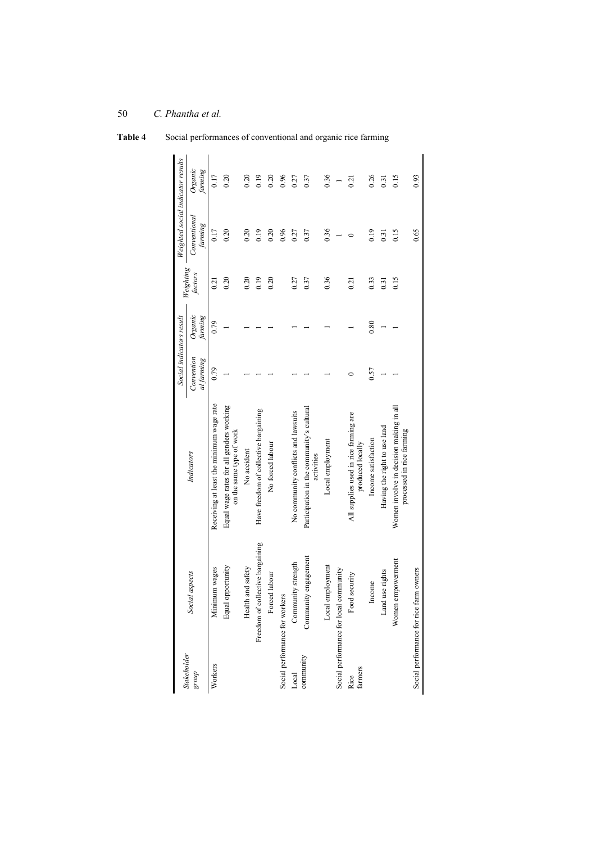| <b>Stakeholder</b> |                                         |                                                                      | Social indicators result |                    | Weighting | Weighted social indicator results |                    |
|--------------------|-----------------------------------------|----------------------------------------------------------------------|--------------------------|--------------------|-----------|-----------------------------------|--------------------|
| dno.8              | Social aspects                          | Indicators                                                           | Convention<br>al farming | Organic<br>farming | factors   | Conventional<br>farming           | Organic<br>farming |
| Workers            | Minimum wages                           | Receiving at least the minimum wage rate                             | 0.79                     | 0.79               | 0.21      | 0.17                              | 0.17               |
|                    | Equal opportunity                       | Equal wage rates for all genders working<br>on the same type of work |                          |                    | 0.20      | 0.20                              | 0.20               |
|                    | Health and safety                       | No accident                                                          |                          |                    | 0.20      | 0.20                              | 0.20               |
|                    | Freedom of collective bargaining        | Have freedom of collective bargaining                                |                          |                    | 0.19      | 0.19                              | 0.19               |
|                    | Forced labour                           | No forced labour                                                     |                          |                    | 0.20      | 0.20                              | 0.20               |
|                    | Social performance for workers          |                                                                      |                          |                    |           | 0.96                              | 0.96               |
| Local              | Community strength                      | No community conflicts and lawsuits                                  |                          |                    | 0.27      | 0.27                              | 0.27               |
| community          | Community engagement                    | Participation in the community's cultural<br>activities              |                          |                    | 0.37      | 0.37                              | 0.37               |
|                    | Local employment                        | Local employment                                                     |                          |                    | 0.36      | 0.36                              | 0.36               |
|                    | Social performance for local community  |                                                                      |                          |                    |           |                                   |                    |
| Rice<br>farmers    | Food security                           | All supplies used in rice farming are<br>produced locally            |                          |                    | 0.21      |                                   | 0.21               |
|                    | $In \mbox{come}$                        | Income satisfaction                                                  | 0.57                     | 0.80               | 0.33      | 0.19                              | 0.26               |
|                    | Land use rights                         | Having the right to use land                                         |                          |                    | 0.31      | $\overline{0.31}$                 | 0.31               |
|                    | Women empowerment                       | Women involve in decision making in all<br>processed in rice farming |                          |                    | 0.15      | 0.15                              | 0.15               |
|                    | Social performance for rice farm owners |                                                                      |                          |                    |           | 0.65                              | 0.93               |

**Table 4** Social performances of conventional and organic rice farming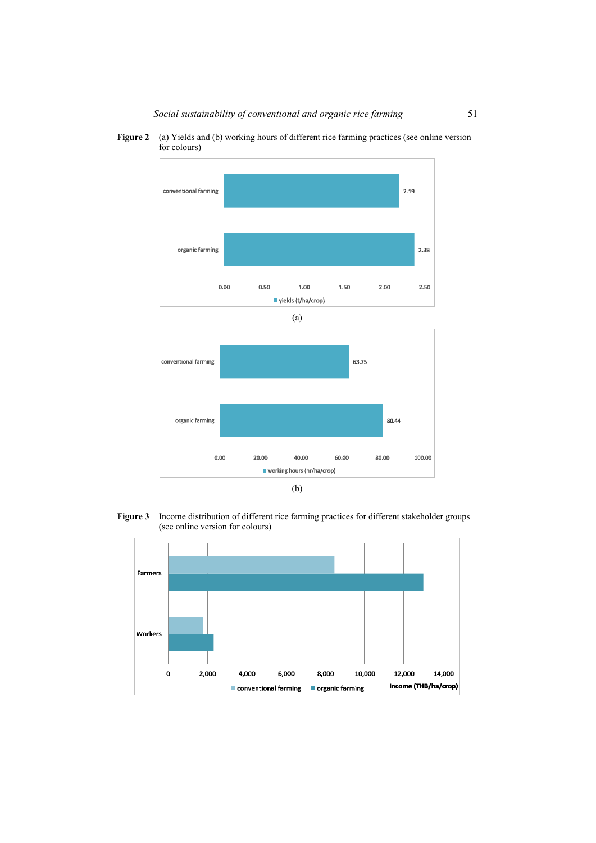Figure 2 (a) Yields and (b) working hours of different rice farming practices (see online version for colours)







**Figure 3** Income distribution of different rice farming practices for different stakeholder groups (see online version for colours)

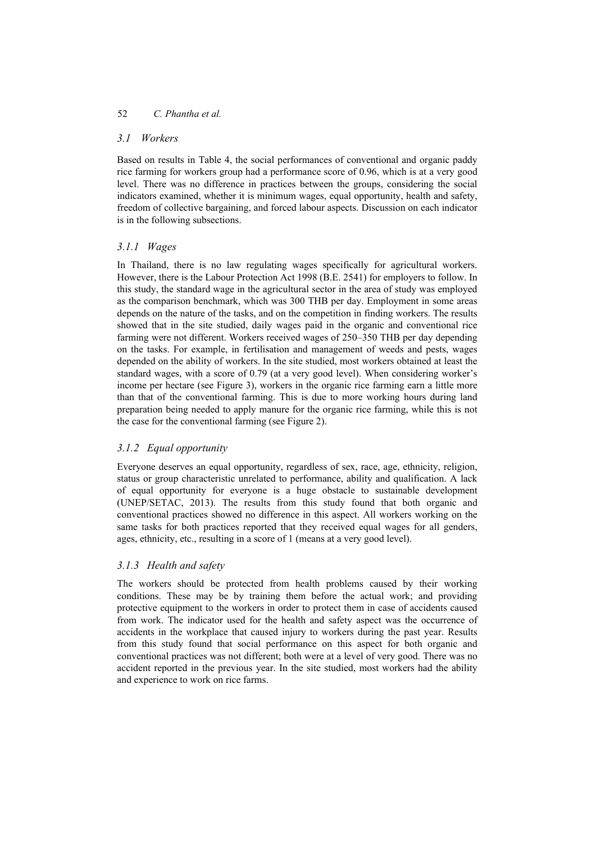## *3.1 Workers*

Based on results in Table 4, the social performances of conventional and organic paddy rice farming for workers group had a performance score of 0.96, which is at a very good level. There was no difference in practices between the groups, considering the social indicators examined, whether it is minimum wages, equal opportunity, health and safety, freedom of collective bargaining, and forced labour aspects. Discussion on each indicator is in the following subsections.

# *3.1.1 Wages*

In Thailand, there is no law regulating wages specifically for agricultural workers. However, there is the Labour Protection Act 1998 (B.E. 2541) for employers to follow. In this study, the standard wage in the agricultural sector in the area of study was employed as the comparison benchmark, which was 300 THB per day. Employment in some areas depends on the nature of the tasks, and on the competition in finding workers. The results showed that in the site studied, daily wages paid in the organic and conventional rice farming were not different. Workers received wages of 250–350 THB per day depending on the tasks. For example, in fertilisation and management of weeds and pests, wages depended on the ability of workers. In the site studied, most workers obtained at least the standard wages, with a score of 0.79 (at a very good level). When considering worker's income per hectare (see Figure 3), workers in the organic rice farming earn a little more than that of the conventional farming. This is due to more working hours during land preparation being needed to apply manure for the organic rice farming, while this is not the case for the conventional farming (see Figure 2).

# *3.1.2 Equal opportunity*

Everyone deserves an equal opportunity, regardless of sex, race, age, ethnicity, religion, status or group characteristic unrelated to performance, ability and qualification. A lack of equal opportunity for everyone is a huge obstacle to sustainable development (UNEP/SETAC, 2013). The results from this study found that both organic and conventional practices showed no difference in this aspect. All workers working on the same tasks for both practices reported that they received equal wages for all genders, ages, ethnicity, etc., resulting in a score of 1 (means at a very good level).

# *3.1.3 Health and safety*

The workers should be protected from health problems caused by their working conditions. These may be by training them before the actual work; and providing protective equipment to the workers in order to protect them in case of accidents caused from work. The indicator used for the health and safety aspect was the occurrence of accidents in the workplace that caused injury to workers during the past year. Results from this study found that social performance on this aspect for both organic and conventional practices was not different; both were at a level of very good. There was no accident reported in the previous year. In the site studied, most workers had the ability and experience to work on rice farms.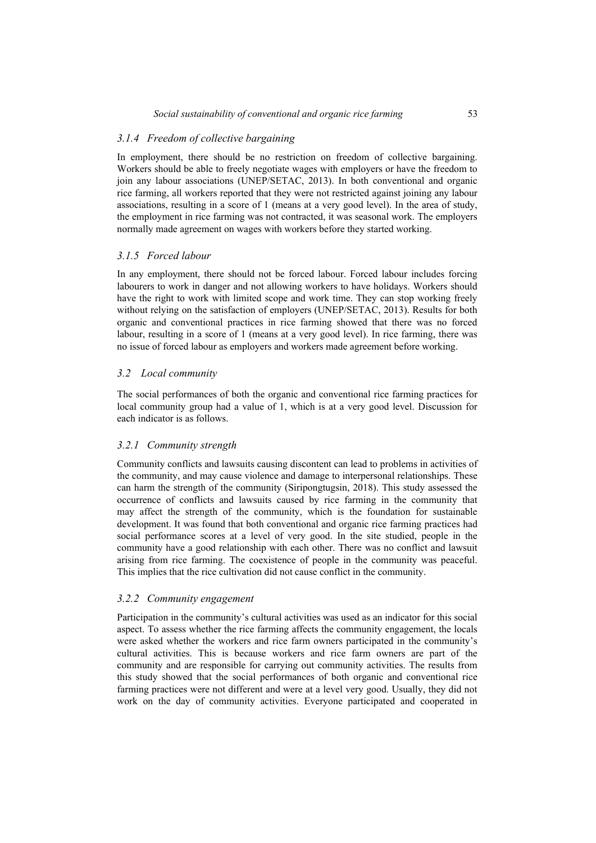### *3.1.4 Freedom of collective bargaining*

In employment, there should be no restriction on freedom of collective bargaining. Workers should be able to freely negotiate wages with employers or have the freedom to join any labour associations (UNEP/SETAC, 2013). In both conventional and organic rice farming, all workers reported that they were not restricted against joining any labour associations, resulting in a score of 1 (means at a very good level). In the area of study, the employment in rice farming was not contracted, it was seasonal work. The employers normally made agreement on wages with workers before they started working.

### *3.1.5 Forced labour*

In any employment, there should not be forced labour. Forced labour includes forcing labourers to work in danger and not allowing workers to have holidays. Workers should have the right to work with limited scope and work time. They can stop working freely without relying on the satisfaction of employers (UNEP/SETAC, 2013). Results for both organic and conventional practices in rice farming showed that there was no forced labour, resulting in a score of 1 (means at a very good level). In rice farming, there was no issue of forced labour as employers and workers made agreement before working.

### *3.2 Local community*

The social performances of both the organic and conventional rice farming practices for local community group had a value of 1, which is at a very good level. Discussion for each indicator is as follows.

#### *3.2.1 Community strength*

Community conflicts and lawsuits causing discontent can lead to problems in activities of the community, and may cause violence and damage to interpersonal relationships. These can harm the strength of the community (Siripongtugsin, 2018). This study assessed the occurrence of conflicts and lawsuits caused by rice farming in the community that may affect the strength of the community, which is the foundation for sustainable development. It was found that both conventional and organic rice farming practices had social performance scores at a level of very good. In the site studied, people in the community have a good relationship with each other. There was no conflict and lawsuit arising from rice farming. The coexistence of people in the community was peaceful. This implies that the rice cultivation did not cause conflict in the community.

#### *3.2.2 Community engagement*

Participation in the community's cultural activities was used as an indicator for this social aspect. To assess whether the rice farming affects the community engagement, the locals were asked whether the workers and rice farm owners participated in the community's cultural activities. This is because workers and rice farm owners are part of the community and are responsible for carrying out community activities. The results from this study showed that the social performances of both organic and conventional rice farming practices were not different and were at a level very good. Usually, they did not work on the day of community activities. Everyone participated and cooperated in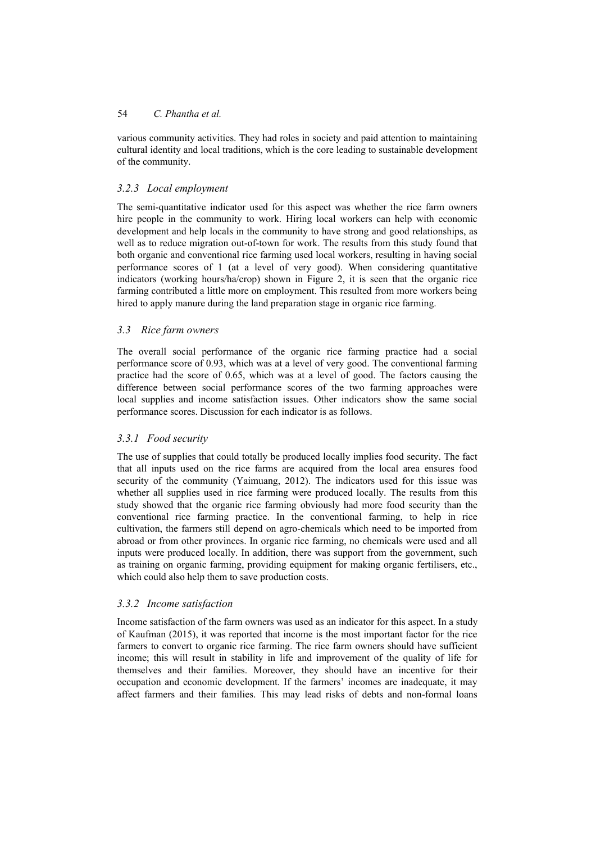various community activities. They had roles in society and paid attention to maintaining cultural identity and local traditions, which is the core leading to sustainable development of the community.

# *3.2.3 Local employment*

The semi-quantitative indicator used for this aspect was whether the rice farm owners hire people in the community to work. Hiring local workers can help with economic development and help locals in the community to have strong and good relationships, as well as to reduce migration out-of-town for work. The results from this study found that both organic and conventional rice farming used local workers, resulting in having social performance scores of 1 (at a level of very good). When considering quantitative indicators (working hours/ha/crop) shown in Figure 2, it is seen that the organic rice farming contributed a little more on employment. This resulted from more workers being hired to apply manure during the land preparation stage in organic rice farming.

## *3.3 Rice farm owners*

The overall social performance of the organic rice farming practice had a social performance score of 0.93, which was at a level of very good. The conventional farming practice had the score of 0.65, which was at a level of good. The factors causing the difference between social performance scores of the two farming approaches were local supplies and income satisfaction issues. Other indicators show the same social performance scores. Discussion for each indicator is as follows.

## *3.3.1 Food security*

The use of supplies that could totally be produced locally implies food security. The fact that all inputs used on the rice farms are acquired from the local area ensures food security of the community (Yaimuang, 2012). The indicators used for this issue was whether all supplies used in rice farming were produced locally. The results from this study showed that the organic rice farming obviously had more food security than the conventional rice farming practice. In the conventional farming, to help in rice cultivation, the farmers still depend on agro-chemicals which need to be imported from abroad or from other provinces. In organic rice farming, no chemicals were used and all inputs were produced locally. In addition, there was support from the government, such as training on organic farming, providing equipment for making organic fertilisers, etc., which could also help them to save production costs.

## *3.3.2 Income satisfaction*

Income satisfaction of the farm owners was used as an indicator for this aspect. In a study of Kaufman (2015), it was reported that income is the most important factor for the rice farmers to convert to organic rice farming. The rice farm owners should have sufficient income; this will result in stability in life and improvement of the quality of life for themselves and their families. Moreover, they should have an incentive for their occupation and economic development. If the farmers' incomes are inadequate, it may affect farmers and their families. This may lead risks of debts and non-formal loans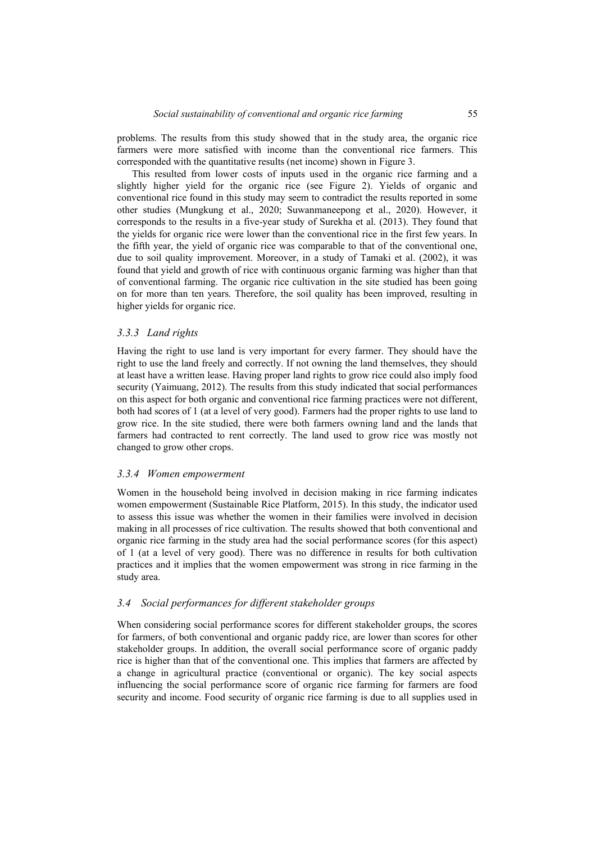problems. The results from this study showed that in the study area, the organic rice farmers were more satisfied with income than the conventional rice farmers. This corresponded with the quantitative results (net income) shown in Figure 3.

This resulted from lower costs of inputs used in the organic rice farming and a slightly higher yield for the organic rice (see Figure 2). Yields of organic and conventional rice found in this study may seem to contradict the results reported in some other studies (Mungkung et al., 2020; Suwanmaneepong et al., 2020). However, it corresponds to the results in a five-year study of Surekha et al. (2013). They found that the yields for organic rice were lower than the conventional rice in the first few years. In the fifth year, the yield of organic rice was comparable to that of the conventional one, due to soil quality improvement. Moreover, in a study of Tamaki et al. (2002), it was found that yield and growth of rice with continuous organic farming was higher than that of conventional farming. The organic rice cultivation in the site studied has been going on for more than ten years. Therefore, the soil quality has been improved, resulting in higher yields for organic rice.

#### *3.3.3 Land rights*

Having the right to use land is very important for every farmer. They should have the right to use the land freely and correctly. If not owning the land themselves, they should at least have a written lease. Having proper land rights to grow rice could also imply food security (Yaimuang, 2012). The results from this study indicated that social performances on this aspect for both organic and conventional rice farming practices were not different, both had scores of 1 (at a level of very good). Farmers had the proper rights to use land to grow rice. In the site studied, there were both farmers owning land and the lands that farmers had contracted to rent correctly. The land used to grow rice was mostly not changed to grow other crops.

### *3.3.4 Women empowerment*

Women in the household being involved in decision making in rice farming indicates women empowerment (Sustainable Rice Platform, 2015). In this study, the indicator used to assess this issue was whether the women in their families were involved in decision making in all processes of rice cultivation. The results showed that both conventional and organic rice farming in the study area had the social performance scores (for this aspect) of 1 (at a level of very good). There was no difference in results for both cultivation practices and it implies that the women empowerment was strong in rice farming in the study area.

#### *3.4 Social performances for different stakeholder groups*

When considering social performance scores for different stakeholder groups, the scores for farmers, of both conventional and organic paddy rice, are lower than scores for other stakeholder groups. In addition, the overall social performance score of organic paddy rice is higher than that of the conventional one. This implies that farmers are affected by a change in agricultural practice (conventional or organic). The key social aspects influencing the social performance score of organic rice farming for farmers are food security and income. Food security of organic rice farming is due to all supplies used in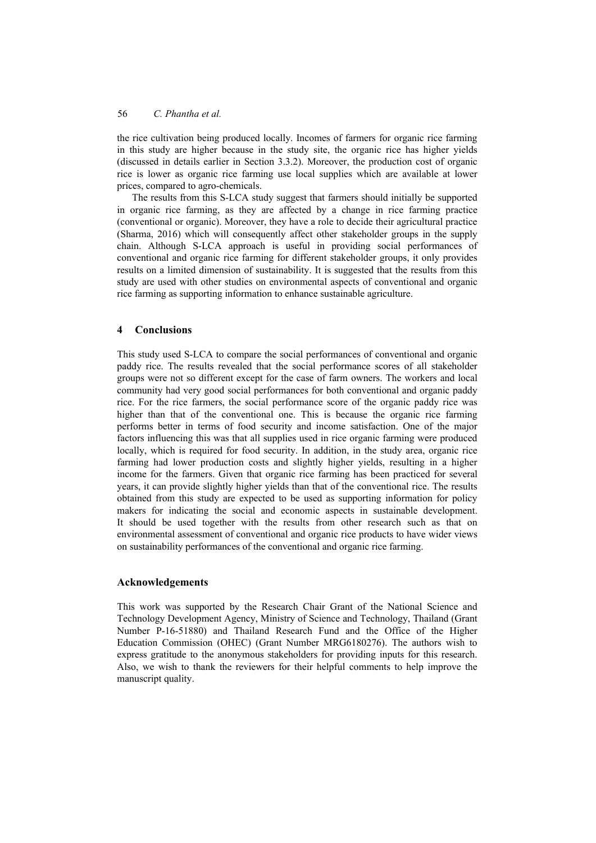the rice cultivation being produced locally. Incomes of farmers for organic rice farming in this study are higher because in the study site, the organic rice has higher yields (discussed in details earlier in Section 3.3.2). Moreover, the production cost of organic rice is lower as organic rice farming use local supplies which are available at lower prices, compared to agro-chemicals.

The results from this S-LCA study suggest that farmers should initially be supported in organic rice farming, as they are affected by a change in rice farming practice (conventional or organic). Moreover, they have a role to decide their agricultural practice (Sharma, 2016) which will consequently affect other stakeholder groups in the supply chain. Although S-LCA approach is useful in providing social performances of conventional and organic rice farming for different stakeholder groups, it only provides results on a limited dimension of sustainability. It is suggested that the results from this study are used with other studies on environmental aspects of conventional and organic rice farming as supporting information to enhance sustainable agriculture.

### **4 Conclusions**

This study used S-LCA to compare the social performances of conventional and organic paddy rice. The results revealed that the social performance scores of all stakeholder groups were not so different except for the case of farm owners. The workers and local community had very good social performances for both conventional and organic paddy rice. For the rice farmers, the social performance score of the organic paddy rice was higher than that of the conventional one. This is because the organic rice farming performs better in terms of food security and income satisfaction. One of the major factors influencing this was that all supplies used in rice organic farming were produced locally, which is required for food security. In addition, in the study area, organic rice farming had lower production costs and slightly higher yields, resulting in a higher income for the farmers. Given that organic rice farming has been practiced for several years, it can provide slightly higher yields than that of the conventional rice. The results obtained from this study are expected to be used as supporting information for policy makers for indicating the social and economic aspects in sustainable development. It should be used together with the results from other research such as that on environmental assessment of conventional and organic rice products to have wider views on sustainability performances of the conventional and organic rice farming.

### **Acknowledgements**

This work was supported by the Research Chair Grant of the National Science and Technology Development Agency, Ministry of Science and Technology, Thailand (Grant Number P-16-51880) and Thailand Research Fund and the Office of the Higher Education Commission (OHEC) (Grant Number MRG6180276). The authors wish to express gratitude to the anonymous stakeholders for providing inputs for this research. Also, we wish to thank the reviewers for their helpful comments to help improve the manuscript quality.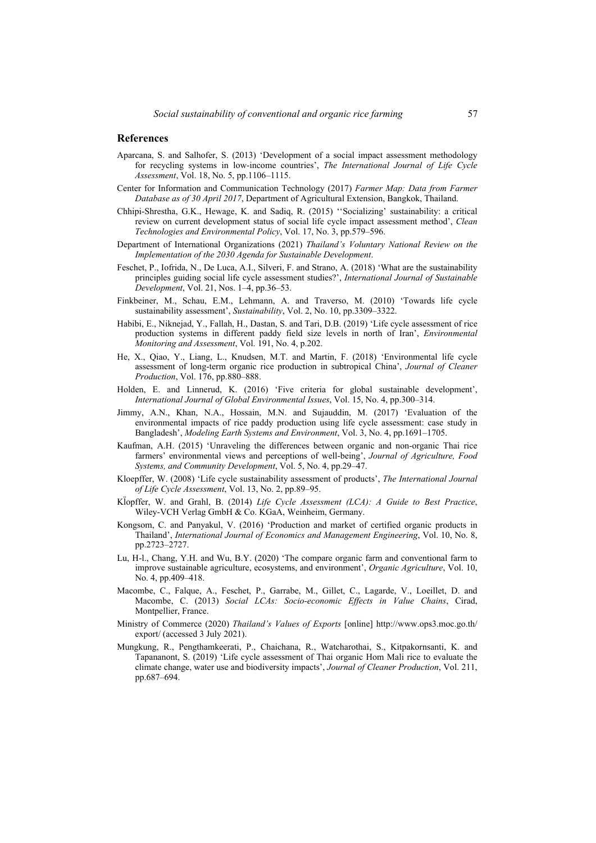#### **References**

- Aparcana, S. and Salhofer, S. (2013) 'Development of a social impact assessment methodology for recycling systems in low-income countries', *The International Journal of Life Cycle Assessment*, Vol. 18, No. 5, pp.1106–1115.
- Center for Information and Communication Technology (2017) *Farmer Map: Data from Farmer Database as of 30 April 2017*, Department of Agricultural Extension, Bangkok, Thailand.
- Chhipi-Shrestha, G.K., Hewage, K. and Sadiq, R. (2015) ''Socializing' sustainability: a critical review on current development status of social life cycle impact assessment method', *Clean Technologies and Environmental Policy*, Vol. 17, No. 3, pp.579–596.
- Department of International Organizations (2021) *Thailand's Voluntary National Review on the Implementation of the 2030 Agenda for Sustainable Development*.
- Feschet, P., Iofrida, N., De Luca, A.I., Silveri, F. and Strano, A. (2018) 'What are the sustainability principles guiding social life cycle assessment studies?', *International Journal of Sustainable Development*, Vol. 21, Nos. 1–4, pp.36–53.
- Finkbeiner, M., Schau, E.M., Lehmann, A. and Traverso, M. (2010) 'Towards life cycle sustainability assessment', *Sustainability*, Vol. 2, No. 10, pp.3309–3322.
- Habibi, E., Niknejad, Y., Fallah, H., Dastan, S. and Tari, D.B. (2019) 'Life cycle assessment of rice production systems in different paddy field size levels in north of Iran', *Environmental Monitoring and Assessment*, Vol. 191, No. 4, p.202.
- He, X., Qiao, Y., Liang, L., Knudsen, M.T. and Martin, F. (2018) 'Environmental life cycle assessment of long-term organic rice production in subtropical China', *Journal of Cleaner Production*, Vol. 176, pp.880–888.
- Holden, E. and Linnerud, K. (2016) 'Five criteria for global sustainable development', *International Journal of Global Environmental Issues*, Vol. 15, No. 4, pp.300–314.
- Jimmy, A.N., Khan, N.A., Hossain, M.N. and Sujauddin, M. (2017) 'Evaluation of the environmental impacts of rice paddy production using life cycle assessment: case study in Bangladesh', *Modeling Earth Systems and Environment*, Vol. 3, No. 4, pp.1691–1705.
- Kaufman, A.H. (2015) 'Unraveling the differences between organic and non-organic Thai rice farmers' environmental views and perceptions of well-being', *Journal of Agriculture, Food Systems, and Community Development*, Vol. 5, No. 4, pp.29–47.
- Kloepffer, W. (2008) 'Life cycle sustainability assessment of products', *The International Journal of Life Cycle Assessment*, Vol. 13, No. 2, pp.89–95.
- Kl̈ opffer, W. and Grahl, B. (2014) *Life Cycle Assessment (LCA): A Guide to Best Practice*, Wiley-VCH Verlag GmbH & Co. KGaA, Weinheim, Germany.
- Kongsom, C. and Panyakul, V. (2016) 'Production and market of certified organic products in Thailand', *International Journal of Economics and Management Engineering*, Vol. 10, No. 8, pp.2723–2727.
- Lu, H-l., Chang, Y.H. and Wu, B.Y. (2020) 'The compare organic farm and conventional farm to improve sustainable agriculture, ecosystems, and environment', *Organic Agriculture*, Vol. 10, No. 4, pp.409–418.
- Macombe, C., Falque, A., Feschet, P., Garrabe, M., Gillet, C., Lagarde, V., Loeillet, D. and Macombe, C. (2013) *Social LCAs: Socio-economic Effects in Value Chains*, Cirad, Montpellier, France.
- Ministry of Commerce (2020) *Thailand's Values of Exports* [online] http://www.ops3.moc.go.th/ export/ (accessed 3 July 2021).
- Mungkung, R., Pengthamkeerati, P., Chaichana, R., Watcharothai, S., Kitpakornsanti, K. and Tapananont, S. (2019) 'Life cycle assessment of Thai organic Hom Mali rice to evaluate the climate change, water use and biodiversity impacts', *Journal of Cleaner Production*, Vol. 211, pp.687–694.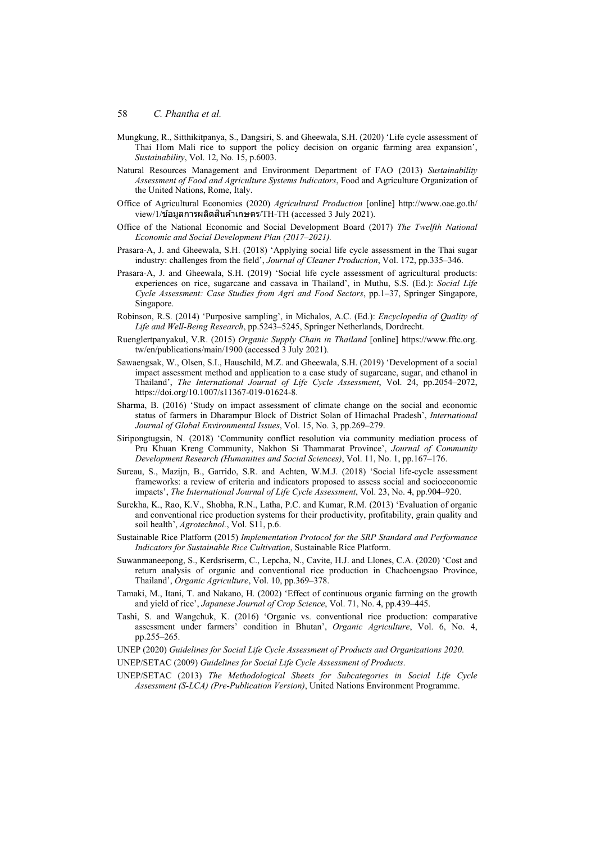- Mungkung, R., Sitthikitpanya, S., Dangsiri, S. and Gheewala, S.H. (2020) 'Life cycle assessment of Thai Hom Mali rice to support the policy decision on organic farming area expansion', *Sustainability*, Vol. 12, No. 15, p.6003.
- Natural Resources Management and Environment Department of FAO (2013) *Sustainability Assessment of Food and Agriculture Systems Indicators*, Food and Agriculture Organization of the United Nations, Rome, Italy.
- Office of Agricultural Economics (2020) *Agricultural Production* [online] http://www.oae.go.th/  $view/1/$ ข้อมลการผลิตสินค้าเกษตร/TH-TH (accessed 3 July 2021).
- Office of the National Economic and Social Development Board (2017) *The Twelfth National Economic and Social Development Plan (2017–2021).*
- Prasara-A, J. and Gheewala, S.H. (2018) 'Applying social life cycle assessment in the Thai sugar industry: challenges from the field', *Journal of Cleaner Production*, Vol. 172, pp.335–346.
- Prasara-A, J. and Gheewala, S.H. (2019) 'Social life cycle assessment of agricultural products: experiences on rice, sugarcane and cassava in Thailand', in Muthu, S.S. (Ed.): *Social Life Cycle Assessment: Case Studies from Agri and Food Sectors*, pp.1–37, Springer Singapore, Singapore.
- Robinson, R.S. (2014) 'Purposive sampling', in Michalos, A.C. (Ed.): *Encyclopedia of Quality of Life and Well-Being Research*, pp.5243–5245, Springer Netherlands, Dordrecht.
- Ruenglertpanyakul, V.R. (2015) *Organic Supply Chain in Thailand* [online] https://www.fftc.org. tw/en/publications/main/1900 (accessed 3 July 2021).
- Sawaengsak, W., Olsen, S.I., Hauschild, M.Z. and Gheewala, S.H. (2019) 'Development of a social impact assessment method and application to a case study of sugarcane, sugar, and ethanol in Thailand', *The International Journal of Life Cycle Assessment*, Vol. 24, pp.2054–2072, https://doi.org/10.1007/s11367-019-01624-8.
- Sharma, B. (2016) 'Study on impact assessment of climate change on the social and economic status of farmers in Dharampur Block of District Solan of Himachal Pradesh', *International Journal of Global Environmental Issues*, Vol. 15, No. 3, pp.269–279.
- Siripongtugsin, N. (2018) 'Community conflict resolution via community mediation process of Pru Khuan Kreng Community, Nakhon Si Thammarat Province', *Journal of Community Development Research (Humanities and Social Sciences)*, Vol. 11, No. 1, pp.167–176.
- Sureau, S., Mazijn, B., Garrido, S.R. and Achten, W.M.J. (2018) 'Social life-cycle assessment frameworks: a review of criteria and indicators proposed to assess social and socioeconomic impacts', *The International Journal of Life Cycle Assessment*, Vol. 23, No. 4, pp.904–920.
- Surekha, K., Rao, K.V., Shobha, R.N., Latha, P.C. and Kumar, R.M. (2013) 'Evaluation of organic and conventional rice production systems for their productivity, profitability, grain quality and soil health', *Agrotechnol.*, Vol. S11, p.6.
- Sustainable Rice Platform (2015) *Implementation Protocol for the SRP Standard and Performance Indicators for Sustainable Rice Cultivation*, Sustainable Rice Platform.
- Suwanmaneepong, S., Kerdsriserm, C., Lepcha, N., Cavite, H.J. and Llones, C.A. (2020) 'Cost and return analysis of organic and conventional rice production in Chachoengsao Province, Thailand', *Organic Agriculture*, Vol. 10, pp.369–378.
- Tamaki, M., Itani, T. and Nakano, H. (2002) 'Effect of continuous organic farming on the growth and yield of rice', *Japanese Journal of Crop Science*, Vol. 71, No. 4, pp.439–445.
- Tashi, S. and Wangchuk, K. (2016) 'Organic vs. conventional rice production: comparative assessment under farmers' condition in Bhutan', *Organic Agriculture*, Vol. 6, No. 4, pp.255–265.
- UNEP (2020) *Guidelines for Social Life Cycle Assessment of Products and Organizations 2020*.

UNEP/SETAC (2009) *Guidelines for Social Life Cycle Assessment of Products*.

UNEP/SETAC (2013) *The Methodological Sheets for Subcategories in Social Life Cycle Assessment (S-LCA) (Pre-Publication Version)*, United Nations Environment Programme.